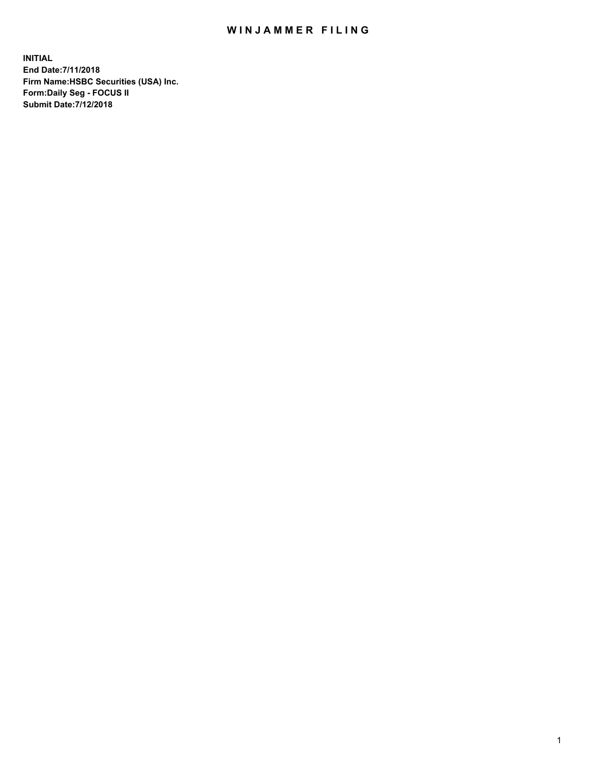## WIN JAMMER FILING

**INITIAL End Date:7/11/2018 Firm Name:HSBC Securities (USA) Inc. Form:Daily Seg - FOCUS II Submit Date:7/12/2018**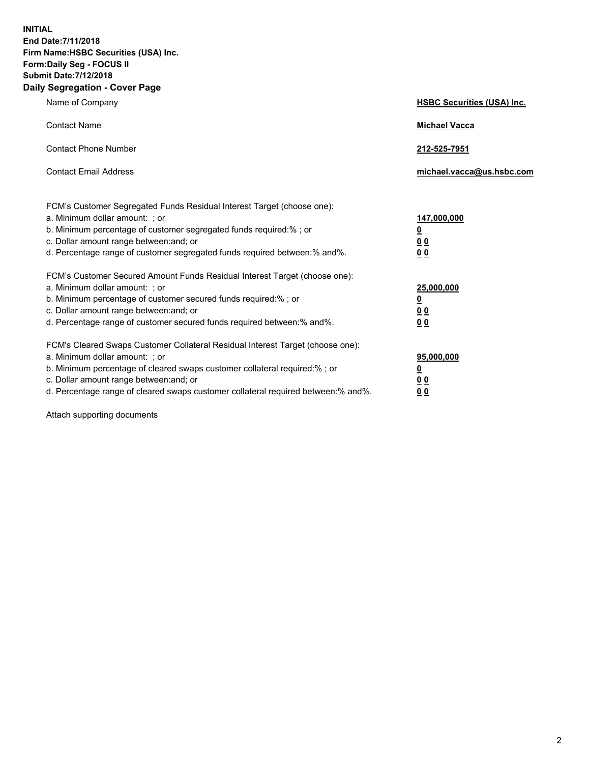**INITIAL End Date:7/11/2018 Firm Name:HSBC Securities (USA) Inc. Form:Daily Seg - FOCUS II Submit Date:7/12/2018 Daily Segregation - Cover Page**

| Name of Company                                                                                                                                                                                                                                                                                                                | <b>HSBC Securities (USA) Inc.</b>                                           |
|--------------------------------------------------------------------------------------------------------------------------------------------------------------------------------------------------------------------------------------------------------------------------------------------------------------------------------|-----------------------------------------------------------------------------|
| <b>Contact Name</b>                                                                                                                                                                                                                                                                                                            | <b>Michael Vacca</b>                                                        |
| <b>Contact Phone Number</b>                                                                                                                                                                                                                                                                                                    | 212-525-7951                                                                |
| <b>Contact Email Address</b>                                                                                                                                                                                                                                                                                                   | michael.vacca@us.hsbc.com                                                   |
| FCM's Customer Segregated Funds Residual Interest Target (choose one):<br>a. Minimum dollar amount: ; or<br>b. Minimum percentage of customer segregated funds required:%; or<br>c. Dollar amount range between: and; or<br>d. Percentage range of customer segregated funds required between:% and%.                          | 147,000,000<br>$\underline{\mathbf{0}}$<br>0 <sub>0</sub><br>0 <sub>0</sub> |
| FCM's Customer Secured Amount Funds Residual Interest Target (choose one):<br>a. Minimum dollar amount: ; or<br>b. Minimum percentage of customer secured funds required:%; or<br>c. Dollar amount range between: and; or<br>d. Percentage range of customer secured funds required between:% and%.                            | 25,000,000<br><u>0</u><br>00<br>0 <sub>0</sub>                              |
| FCM's Cleared Swaps Customer Collateral Residual Interest Target (choose one):<br>a. Minimum dollar amount: ; or<br>b. Minimum percentage of cleared swaps customer collateral required:% ; or<br>c. Dollar amount range between: and; or<br>d. Percentage range of cleared swaps customer collateral required between:% and%. | 95,000,000<br><u>0</u><br>0 <sub>0</sub><br>0 <sub>0</sub>                  |

Attach supporting documents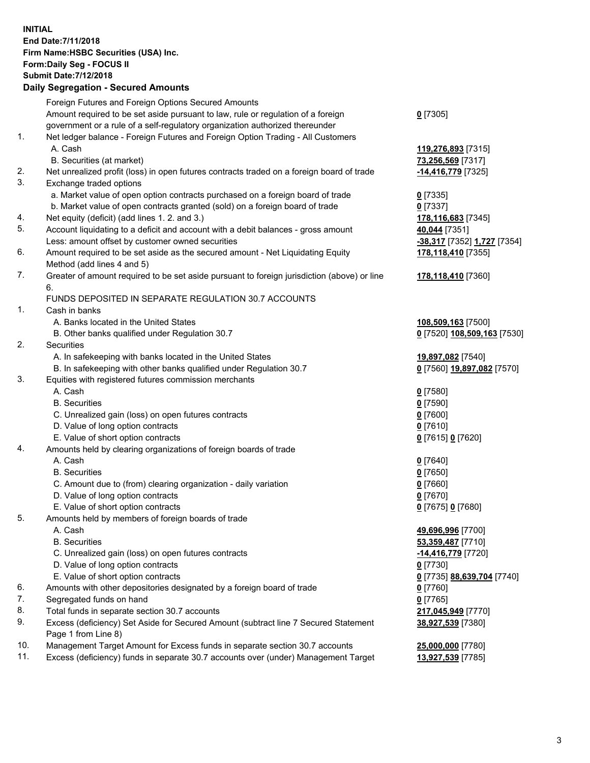**INITIAL End Date:7/11/2018 Firm Name:HSBC Securities (USA) Inc. Form:Daily Seg - FOCUS II Submit Date:7/12/2018 Daily Segregation - Secured Amounts**

|     | Foreign Futures and Foreign Options Secured Amounts                                         |                                           |
|-----|---------------------------------------------------------------------------------------------|-------------------------------------------|
|     | Amount required to be set aside pursuant to law, rule or regulation of a foreign            | $0$ [7305]                                |
|     | government or a rule of a self-regulatory organization authorized thereunder                |                                           |
| 1.  | Net ledger balance - Foreign Futures and Foreign Option Trading - All Customers             |                                           |
|     | A. Cash                                                                                     | 119,276,893 [7315]                        |
|     | B. Securities (at market)                                                                   | 73,256,569 [7317]                         |
| 2.  | Net unrealized profit (loss) in open futures contracts traded on a foreign board of trade   | -14,416,779 [7325]                        |
| 3.  | Exchange traded options                                                                     |                                           |
|     | a. Market value of open option contracts purchased on a foreign board of trade              | $0$ [7335]                                |
|     | b. Market value of open contracts granted (sold) on a foreign board of trade                | $0$ [7337]                                |
| 4.  | Net equity (deficit) (add lines 1. 2. and 3.)                                               | 178,116,683 [7345]                        |
| 5.  | Account liquidating to a deficit and account with a debit balances - gross amount           | 40,044 [7351]                             |
|     | Less: amount offset by customer owned securities                                            | <u>-38,317</u> [7352] <u>1,727</u> [7354] |
| 6.  | Amount required to be set aside as the secured amount - Net Liquidating Equity              | 178,118,410 [7355]                        |
|     | Method (add lines 4 and 5)                                                                  |                                           |
| 7.  | Greater of amount required to be set aside pursuant to foreign jurisdiction (above) or line | 178,118,410 [7360]                        |
|     | 6.                                                                                          |                                           |
|     | FUNDS DEPOSITED IN SEPARATE REGULATION 30.7 ACCOUNTS                                        |                                           |
| 1.  | Cash in banks                                                                               |                                           |
|     | A. Banks located in the United States                                                       | 108,509,163 [7500]                        |
|     | B. Other banks qualified under Regulation 30.7                                              | 0 [7520] 108,509,163 [7530]               |
| 2.  | Securities                                                                                  |                                           |
|     | A. In safekeeping with banks located in the United States                                   | 19,897,082 [7540]                         |
|     | B. In safekeeping with other banks qualified under Regulation 30.7                          | 0 [7560] 19,897,082 [7570]                |
| 3.  | Equities with registered futures commission merchants                                       |                                           |
|     | A. Cash                                                                                     | $0$ [7580]                                |
|     | <b>B.</b> Securities                                                                        | $0$ [7590]                                |
|     |                                                                                             |                                           |
|     | C. Unrealized gain (loss) on open futures contracts                                         | $0$ [7600]                                |
|     | D. Value of long option contracts                                                           | $0$ [7610]                                |
|     | E. Value of short option contracts                                                          | 0 [7615] 0 [7620]                         |
| 4.  | Amounts held by clearing organizations of foreign boards of trade                           |                                           |
|     | A. Cash                                                                                     | $0$ [7640]                                |
|     | <b>B.</b> Securities                                                                        | $0$ [7650]                                |
|     | C. Amount due to (from) clearing organization - daily variation                             | $0$ [7660]                                |
|     | D. Value of long option contracts                                                           | $0$ [7670]                                |
|     | E. Value of short option contracts                                                          | 0 [7675] 0 [7680]                         |
| 5.  | Amounts held by members of foreign boards of trade                                          |                                           |
|     | A. Cash                                                                                     | 49,696,996 [7700]                         |
|     | <b>B.</b> Securities                                                                        | 53,359,487 [7710]                         |
|     | C. Unrealized gain (loss) on open futures contracts                                         | -14,416,779 [7720]                        |
|     | D. Value of long option contracts                                                           | $0$ [7730]                                |
|     | E. Value of short option contracts                                                          | 0 [7735] 88,639,704 [7740]                |
| 6.  | Amounts with other depositories designated by a foreign board of trade                      | $0$ [7760]                                |
| 7.  | Segregated funds on hand                                                                    | $0$ [7765]                                |
| 8.  | Total funds in separate section 30.7 accounts                                               | 217,045,949 [7770]                        |
| 9.  | Excess (deficiency) Set Aside for Secured Amount (subtract line 7 Secured Statement         | 38,927,539 [7380]                         |
|     | Page 1 from Line 8)                                                                         |                                           |
| 10. | Management Target Amount for Excess funds in separate section 30.7 accounts                 | 25,000,000 [7780]                         |
| 11. | Excess (deficiency) funds in separate 30.7 accounts over (under) Management Target          | 13,927,539 [7785]                         |
|     |                                                                                             |                                           |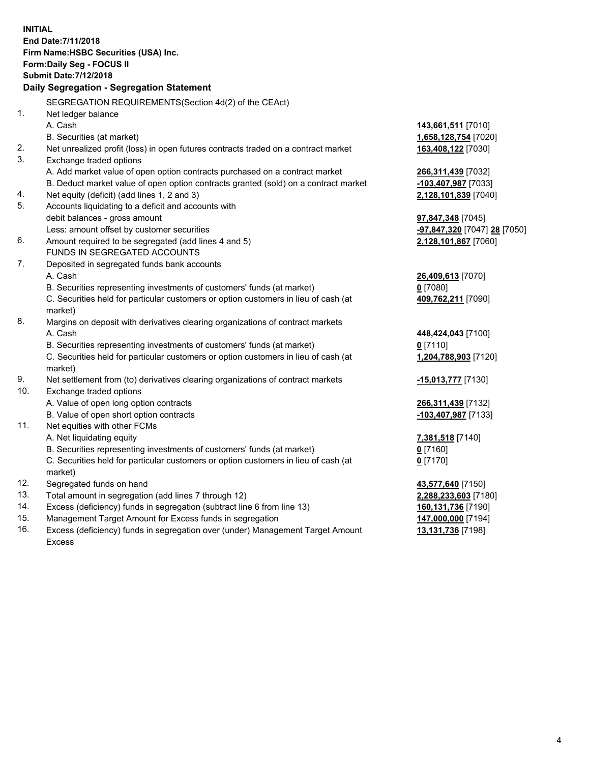|     | <b>INITIAL</b><br>End Date: 7/11/2018<br>Firm Name: HSBC Securities (USA) Inc.                 |                                           |
|-----|------------------------------------------------------------------------------------------------|-------------------------------------------|
|     | Form: Daily Seg - FOCUS II                                                                     |                                           |
|     | <b>Submit Date: 7/12/2018</b>                                                                  |                                           |
|     | Daily Segregation - Segregation Statement                                                      |                                           |
|     | SEGREGATION REQUIREMENTS(Section 4d(2) of the CEAct)                                           |                                           |
| 1.  | Net ledger balance                                                                             |                                           |
|     | A. Cash                                                                                        | 143,661,511 [7010]                        |
|     | B. Securities (at market)                                                                      | 1,658,128,754 [7020]                      |
| 2.  | Net unrealized profit (loss) in open futures contracts traded on a contract market             | 163,408,122 [7030]                        |
| 3.  | Exchange traded options                                                                        |                                           |
|     | A. Add market value of open option contracts purchased on a contract market                    | 266,311,439 [7032]                        |
|     | B. Deduct market value of open option contracts granted (sold) on a contract market            | -103,407,987 [7033]                       |
| 4.  | Net equity (deficit) (add lines 1, 2 and 3)                                                    | 2,128,101,839 [7040]                      |
| 5.  | Accounts liquidating to a deficit and accounts with                                            |                                           |
|     | debit balances - gross amount                                                                  | 97,847,348 [7045]                         |
|     | Less: amount offset by customer securities                                                     | <mark>-97,847,320</mark> [7047] 28 [7050] |
| 6.  | Amount required to be segregated (add lines 4 and 5)                                           | 2,128,101,867 [7060]                      |
|     | FUNDS IN SEGREGATED ACCOUNTS                                                                   |                                           |
| 7.  | Deposited in segregated funds bank accounts                                                    |                                           |
|     | A. Cash                                                                                        | 26,409,613 [7070]                         |
|     | B. Securities representing investments of customers' funds (at market)                         | $0$ [7080]                                |
|     | C. Securities held for particular customers or option customers in lieu of cash (at            | 409,762,211 [7090]                        |
|     | market)                                                                                        |                                           |
| 8.  | Margins on deposit with derivatives clearing organizations of contract markets                 |                                           |
|     | A. Cash                                                                                        | 448,424,043 [7100]                        |
|     | B. Securities representing investments of customers' funds (at market)                         | $0$ [7110]                                |
|     | C. Securities held for particular customers or option customers in lieu of cash (at<br>market) | 1,204,788,903 [7120]                      |
| 9.  | Net settlement from (to) derivatives clearing organizations of contract markets                | -15,013,777 [7130]                        |
| 10. | Exchange traded options                                                                        |                                           |
|     | A. Value of open long option contracts                                                         | 266,311,439 [7132]                        |
|     | B. Value of open short option contracts                                                        | -103,407,987 [7133]                       |
| 11. | Net equities with other FCMs                                                                   |                                           |
|     | A. Net liquidating equity                                                                      | 7,381,518 [7140]                          |
|     | B. Securities representing investments of customers' funds (at market)                         | $0$ [7160]                                |
|     | C. Securities held for particular customers or option customers in lieu of cash (at<br>market) | $0$ [7170]                                |
| 12. | Segregated funds on hand                                                                       | 43,577,640 [7150]                         |
| 13. | Total amount in segregation (add lines 7 through 12)                                           | 2,288,233,603 [7180]                      |
| 14. | Excess (deficiency) funds in segregation (subtract line 6 from line 13)                        | 160,131,736 [7190]                        |
| 15. | Management Target Amount for Excess funds in segregation                                       | 147,000,000 [7194]                        |
| 16. | Excess (deficiency) funds in segregation over (under) Management Target Amount                 | 13,131,736 [7198]                         |

16. Excess (deficiency) funds in segregation over (under) Management Target Amount Excess